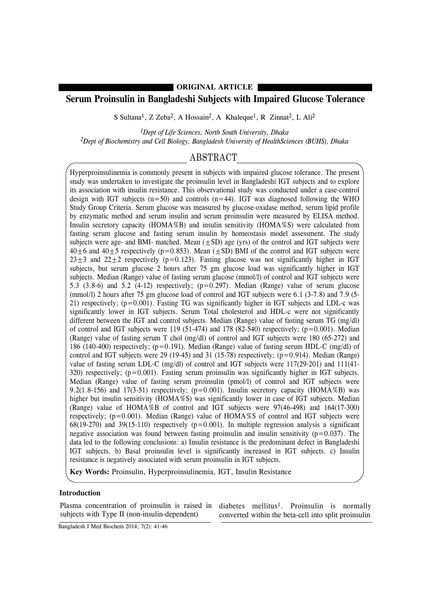### **ORIGINAL ARTICLE**

## **Serum Proinsulin in Bangladeshi Subjects with Impaired Glucose Tolerance**

S Sultana<sup>1</sup>, Z Zeba<sup>2</sup>, A Hossain<sup>2</sup>, A Khaleque<sup>1</sup>, R Zinnat<sup>2</sup>, L Ali<sup>2</sup>

*1Dept of Life Sciences, North South University, Dhaka 2Dept of Biochemistry and Cell Biology, Bangladesh University of HealthSciences (BUHS), Dhaka*

### ABSTRACT

Hyperproinsulinemia is commonly present in subjects with impaired glucose tolerance. The present study was undertaken to investigate the proinsulin level in Bangladeshi IGT subjects and to explore its association with insulin resistance. This observational study was conducted under a case-control design with IGT subjects  $(n=50)$  and controls  $(n=44)$ . IGT was diagnosed following the WHO Study Group Criteria. Serum glucose was measured by glucose-oxidase method, serum lipid profile by enzymatic method and serum insulin and serum proinsulin were measured by ELISA method. Insulin secretory capacity (HOMA%B) and insulin sensitivity (HOMA%S) were calculated from fasting serum glucose and fasting serum insulin by homeostasis model assessment. The study subjects were age- and BMI- matched. Mean  $(\pm SD)$  age (yrs) of the control and IGT subjects were  $40\pm6$  and  $40\pm5$  respectively (p=0.853). Mean ( $\pm$ SD) BMI of the control and IGT subjects were  $23\pm3$  and  $22\pm2$  respectively (p=0.123). Fasting glucose was not significantly higher in IGT subjects, but serum glucose 2 hours after 75 gm glucose load was significantly higher in IGT subjects. Median (Range) value of fasting serum glucose (mmol/l) of control and IGT subjects were 5.3 (3.8-6) and 5.2 (4-12) respectively; (p=0.297). Median (Range) value of serum glucose (mmol/l) 2 hours after 75 gm glucose load of control and IGT subjects were 6.1 (3-7.8) and 7.9 (5- 21) respectively;  $(p=0.001)$ . Fasting TG was significantly higher in IGT subjects and LDL-c was significantly lower in IGT subjects. Serum Total cholesterol and HDL-c were not significantly different between the IGT and control subjects. Median (Range) value of fasting serum TG (mg/dl) of control and IGT subjects were 119 (51-474) and 178 (82-540) respectively;  $(p=0.001)$ . Median (Range) value of fasting serum T chol (mg/dl) of control and IGT subjects were 180 (65-272) and 186 (140-400) respectively; (p=0.191). Median (Range) value of fasting serum HDL-C (mg/dl) of control and IGT subjects were 29 (19-45) and 31 (15-78) respectively;  $(p=0.914)$ . Median (Range) value of fasting serum LDL-C (mg/dl) of control and IGT subjects were 117(29-201) and 111(41- 320) respectively;  $(p=0.001)$ . Fasting serum proinsulin was significantly higher in IGT subjects. Median (Range) value of fasting serum proinsulin (pmol/l) of control and IGT subjects were 9.2(1.8-156) and 17(3-51) respectively; ( $p=0.001$ ). Insulin secretory capacity (HOMA%B) was higher but insulin sensitivity (HOMA%S) was significantly lower in case of IGT subjects. Median (Range) value of HOMA%B of control and IGT subjects were 97(46-498) and 164(17-300) respectively; ( $p=0.001$ ). Median (Range) value of HOMA%S of control and IGT subjects were  $68(19-270)$  and  $39(15-110)$  respectively ( $p=0.001$ ). In multiple regression analysis a significant negative association was found between fasting proinsulin and insulin sensitivity  $(p=0.037)$ . The data led to the following conclusions: a) Insulin resistance is the predominant defect in Bangladeshi IGT subjects. b) Basal proinsulin level is significantly increased in IGT subjects. c) Insulin resistance is negatively associated with serum proinsulin in IGT subjects.

**Key Words:** Proinsulin, Hyperproinsulinemia, IGT, Insulin Resistance

### **Introduction**

Plasma concentration of proinsulin is raised in subjects with Type II (non-insulin-dependent)

diabetes mellitus1. Proinsulin is normally converted within the beta-cell into split proinsulin

Bangladesh J Med Biochem 2014; 7(2): 41-46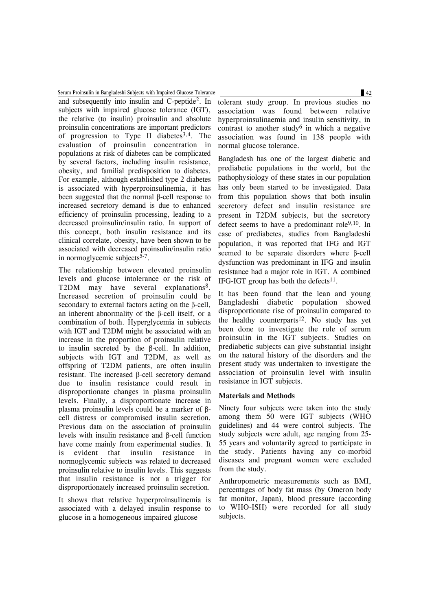Serum Proinsulin in Bangladeshi Subjects with Impaired Glucose Tolerance 42

and subsequently into insulin and C-peptide2. In subjects with impaired glucose tolerance (IGT), the relative (to insulin) proinsulin and absolute proinsulin concentrations are important predictors of progression to Type II diabetes<sup>3,4</sup>. The evaluation of proinsulin concentration in populations at risk of diabetes can be complicated by several factors, including insulin resistance, obesity, and familial predisposition to diabetes. For example, although established type 2 diabetes is associated with hyperproinsulinemia, it has been suggested that the normal β-cell response to increased secretory demand is due to enhanced efficiency of proinsulin processing, leading to a decreased proinsulin/insulin ratio. In support of this concept, both insulin resistance and its clinical correlate, obesity, have been shown to be associated with decreased proinsulin/insulin ratio in normoglycemic subjects $5-7$ .

The relationship between elevated proinsulin levels and glucose intolerance or the risk of T2DM may have several explanations<sup>8</sup>. Increased secretion of proinsulin could be secondary to external factors acting on the β-cell, an inherent abnormality of the β-cell itself, or a combination of both. Hyperglycemia in subjects with IGT and T2DM might be associated with an increase in the proportion of proinsulin relative to insulin secreted by the β-cell. In addition, subjects with IGT and T2DM, as well as offspring of T2DM patients, are often insulin resistant. The increased β-cell secretory demand due to insulin resistance could result in disproportionate changes in plasma proinsulin levels. Finally, a disproportionate increase in plasma proinsulin levels could be a marker of βcell distress or compromised insulin secretion. Previous data on the association of proinsulin levels with insulin resistance and β-cell function have come mainly from experimental studies. It is evident that insulin resistance in normoglycemic subjects was related to decreased proinsulin relative to insulin levels. This suggests that insulin resistance is not a trigger for disproportionately increased proinsulin secretion.

It shows that relative hyperproinsulinemia is associated with a delayed insulin response to glucose in a homogeneous impaired glucose

tolerant study group. In previous studies no association was found between relative hyperproinsulinaemia and insulin sensitivity, in contrast to another study<sup>6</sup> in which a negative association was found in 138 people with normal glucose tolerance.

Bangladesh has one of the largest diabetic and prediabetic populations in the world, but the pathophysiology of these states in our population has only been started to be investigated. Data from this population shows that both insulin secretory defect and insulin resistance are present in T2DM subjects, but the secretory defect seems to have a predominant role<sup>9,10</sup>. In case of prediabetes, studies from Bangladeshi population, it was reported that IFG and IGT seemed to be separate disorders where β-cell dysfunction was predominant in IFG and insulin resistance had a major role in IGT. A combined IFG-IGT group has both the defects $11$ .

It has been found that the lean and young Bangladeshi diabetic population showed disproportionate rise of proinsulin compared to the healthy counterparts<sup>12</sup>. No study has yet been done to investigate the role of serum proinsulin in the IGT subjects. Studies on prediabetic subjects can give substantial insight on the natural history of the disorders and the present study was undertaken to investigate the association of proinsulin level with insulin resistance in IGT subjects.

### **Materials and Methods**

Ninety four subjects were taken into the study among them 50 were IGT subjects (WHO guidelines) and 44 were control subjects. The study subjects were adult, age ranging from 25- 55 years and voluntarily agreed to participate in the study. Patients having any co-morbid diseases and pregnant women were excluded from the study.

Anthropometric measurements such as BMI, percentages of body fat mass (by Omeron body fat monitor, Japan), blood pressure (according to WHO-ISH) were recorded for all study subjects.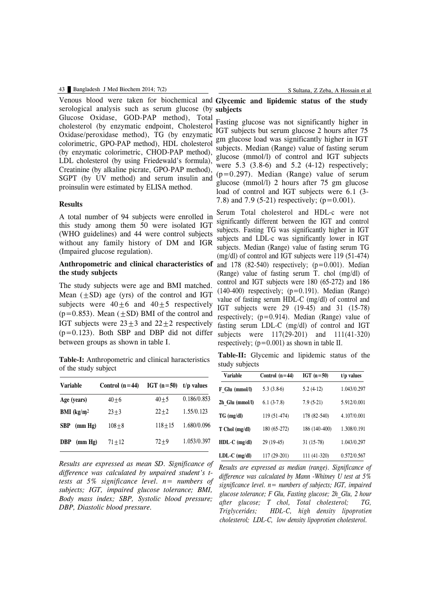serological analysis such as serum glucose (by subjects Glucose Oxidase, GOD-PAP method), Total cholesterol (by enzymatic endpoint, Cholesterol Oxidase/peroxidase method), TG (by enzymatic colorimetric, GPO-PAP method), HDL cholesterol (by enzymatic colorimetric, CHOD-PAP method), LDL cholesterol (by using Friedewald's formula), Creatinine (by alkaline picrate, GPO-PAP method), SGPT (by UV method) and serum insulin and proinsulin were estimated by ELISA method.

### **Results**

A total number of 94 subjects were enrolled in this study among them 50 were isolated IGT (WHO guidelines) and 44 were control subjects without any family history of DM and IGR (Impaired glucose regulation).

### **Anthropometric and clinical characteristics of the study subjects**

The study subjects were age and BMI matched. Mean  $(\pm SD)$  age (yrs) of the control and IGT subjects were  $40 \pm 6$  and  $40 \pm 5$  respectively  $(p=0.853)$ . Mean  $(+SD)$  BMI of the control and IGT subjects were  $23\pm3$  and  $22\pm2$  respectively  $(p=0.123)$ . Both SBP and DBP did not differ between groups as shown in table I.

**Table-I:** Anthropometric and clinical haracteristics of the study subject

| Variable                     | Control $(n=44)$ | IGT $(n=50)$ | $t/p$ values |
|------------------------------|------------------|--------------|--------------|
| Age (years)                  | $40 + 6$         | $40 + 5$     | 0.186/0.853  |
| <b>BMI</b> ( $\text{kg/m}^2$ | $23 + 3$         | $22 + 2$     | 1.55/0.123   |
| (mm Hg)<br><b>SBP</b>        | $108 + 8$        | $118 + 15$   | 1.680/0.096  |
| (mm Hg)<br><b>DBP</b>        | $71 + 12$        | $72 + 9$     | 1.053/0.397  |

*Results are expressed as mean SD. Significance of difference was calculated by unpaired student's ttests at 5% significance level. n= numbers of subjects; IGT, impaired glucose tolerance; BMI, Body mass index; SBP, Systolic blood pressure; DBP, Diastolic blood pressure.*

# **Glycemic and lipidemic status of the study** Venous blood were taken for biochemical and

Fasting glucose was not significantly higher in IGT subjects but serum glucose 2 hours after 75 gm glucose load was significantly higher in IGT subjects. Median (Range) value of fasting serum glucose (mmol/l) of control and IGT subjects were 5.3 (3.8-6) and 5.2 (4-12) respectively; (p=0.297). Median (Range) value of serum glucose (mmol/l) 2 hours after 75 gm glucose load of control and IGT subjects were 6.1 (3- 7.8) and 7.9 (5-21) respectively; (p=0.001).

Serum Total cholesterol and HDL-c were not significantly different between the IGT and control subjects. Fasting TG was significantly higher in IGT subjects and LDL-c was significantly lower in IGT subjects. Median (Range) value of fasting serum TG (mg/dl) of control and IGT subjects were 119 (51-474) and  $178$  (82-540) respectively; ( $p=0.001$ ). Median (Range) value of fasting serum T. chol (mg/dl) of control and IGT subjects were 180 (65-272) and 186  $(140-400)$  respectively;  $(p=0.191)$ . Median (Range) value of fasting serum HDL-C (mg/dl) of control and IGT subjects were 29 (19-45) and 31 (15-78) respectively;  $(p=0.914)$ . Median (Range) value of fasting serum LDL-C (mg/dl) of control and IGT subjects were 117(29-201) and 111(41-320) respectively;  $(p=0.001)$  as shown in table II.

**Table-II:** Glycemic and lipidemic status of the study subjects

| Variable         | Control $(n=44)$ | IGT $(n=50)$  | $t/p$ values |
|------------------|------------------|---------------|--------------|
| F Glu (mmol/l)   | $5.3(3.8-6)$     | $5.2(4-12)$   | 1.043/0.297  |
| 2h Glu (mmol/l)  | $6.1(3-7.8)$     | $7.9(5-21)$   | 5.912/0.001  |
| $TG \ (mg/dl)$   | 119 (51-474)     | 178 (82-540)  | 4.107/0.001  |
| $T$ Chol (mg/dl) | 180 (65-272)     | 186 (140-400) | 1.308/0.191  |
| $HDL-C$ (mg/dl)  | 29 (19-45)       | $31(15-78)$   | 1.043/0.297  |
| $LDL-C$ (mg/dl)  | 117 (29-201)     | 111 (41-320)  | 0.572/0.567  |

*Results are expressed as median (range). Significance of difference was calculated by Mann -Whitney U test at 5% significance level. n= numbers of subjects; IGT, impaired glucose tolerance; F Glu, Fasting glucose; 2h\_Glu, 2 hour after glucose; T chol, Total cholesterol; TG, Triglycerides; HDL-C, high density lipoprotien cholesterol; LDL-C, low density lipoprotien cholesterol.*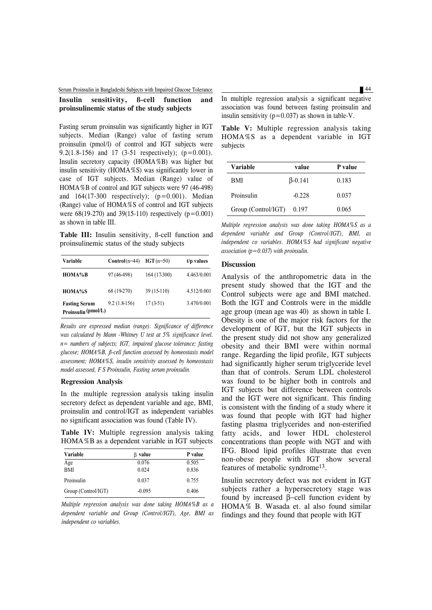# Serum Proinsulin in Bangladeshi Subjects with Impaired Glucose Tolerance 44

### **Insulin sensitivity, ß-cell function and proinsulinemic status of the study subjects**

Fasting serum proinsulin was significantly higher in IGT subjects. Median (Range) value of fasting serum proinsulin (pmol/l) of control and IGT subjects were 9.2(1.8-156) and 17 (3-51 respectively); (p=0.001). Insulin secretory capacity (HOMA%B) was higher but insulin sensitivity (HOMA%S) was significantly lower in case of IGT subjects. Median (Range) value of HOMA%B of control and IGT subjects were 97 (46-498) and  $164(17-300$  respectively);  $(p=0.001)$ . Median (Range) value of HOMA%S of control and IGT subjects were  $68(19-270)$  and  $39(15-110)$  respectively  $(p=0.001)$ as shown in table III.

**Table III:** Insulin sensitivity, ß-cell function and proinsulinemic status of the study subjects

| Variable                                    | $Control(n=44)$ | $IGT(n=50)$  | $t/p$ values |
|---------------------------------------------|-----------------|--------------|--------------|
| HOMA%B                                      | 97 (46-498)     | 164 (17-300) | 4.463/0.001  |
| HOMA%S                                      | 68 (19-270)     | 39 (15-110)  | 4.512/0.001  |
| <b>Fasting Serum</b><br>Proinsulin (pmol/L) | $9.2(1.8-156)$  | $17(3-51)$   | 3.470/0.001  |

*Results are expressed median (range). Significance of difference was calculated by Mann -Whitney U test at 5% significance level. n= numbers of subjects; IGT, impaired glucose tolerance; fasting glucose; HOMA%B, ß-cell function assessed by homeostasis model assessment; HOMA%S, insulin sensitivity assessed by homeostasis model assessed, F S Proinsulin, Fasting serum proinsulin.*

### **Regression Analysis**

In the multiple regression analysis taking insulin secretory defect as dependent variable and age, BMI, proinsulin and control/IGT as independent variables no significant association was found (Table IV).

**Table IV:** Multiple regression analysis taking HOMA%B as a dependent variable in IGT subjects

| Variable            | value<br>ß | P value |
|---------------------|------------|---------|
| Age                 | 0.076      | 0.505   |
| <b>BMI</b>          | 0.024      | 0.836   |
| Proinsulin          | 0.037      | 0.755   |
| Group (Control/IGT) | $-0.095$   | 0.406   |

*Multiple regression analysis was done taking HOMA%B as a dependent variable and Group (Control/IGT), Age, BMI as independent co variables.*

In multiple regression analysis a significant negative association was found between fasting proinsulin and insulin sensitivity  $(p=0.037)$  as shown in table-V.

**Table V:** Multiple regression analysis taking HOMA%S as a dependent variable in IGT subjects

| Variable            | value           | P value |
|---------------------|-----------------|---------|
| <b>BMI</b>          | $\beta - 0.141$ | 0.183   |
| Proinsulin          | $-0.228$        | 0.037   |
| Group (Control/IGT) | 0.197           | 0.065   |

*Multiple regression analysis was done taking HOMA%S as a dependent variable and Group (Control/IGT), BMI, as independent co variables. HOMA%S had significant negative association (p=0.037) with proinsulin.*

### **Discussion**

Analysis of the anthropometric data in the present study showed that the IGT and the Control subjects were age and BMI matched. Both the IGT and Controls were in the middle age group (mean age was 40) as shown in table I. Obesity is one of the major risk factors for the development of IGT, but the IGT subjects in the present study did not show any generalized obesity and their BMI were within normal range. Regarding the lipid profile, IGT subjects had significantly higher serum triglyceride level than that of controls. Serum LDL cholesterol was found to be higher both in controls and IGT subjects but difference between controls and the IGT were not significant. This finding is consistent with the finding of a study where it was found that people with IGT had higher fasting plasma triglycerides and non-esterified fatty acids, and lower HDL cholesterol concentrations than people with NGT and with IFG. Blood lipid profiles illustrate that even non-obese people with IGT show several features of metabolic syndrome<sup>13</sup>.

Insulin secretory defect was not evident in IGT subjects rather a hypersecretory stage was found by increased β−cell function evident by HOMA% B. Wasada et. al also found similar findings and they found that people with IGT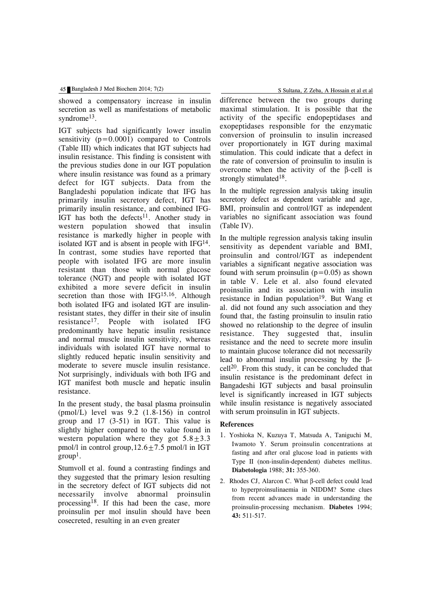showed a compensatory increase in insulin secretion as well as manifestations of metabolic syndrome<sup>13</sup>.

IGT subjects had significantly lower insulin sensitivity  $(p=0.0001)$  compared to Controls (Table III) which indicates that IGT subjects had insulin resistance. This finding is consistent with the previous studies done in our IGT population where insulin resistance was found as a primary defect for IGT subjects. Data from the Bangladeshi population indicate that IFG has primarily insulin secretory defect, IGT has primarily insulin resistance, and combined IFG-IGT has both the defects<sup>11</sup>. Another study in western population showed that insulin resistance is markedly higher in people with isolated IGT and is absent in people with  $IFG<sup>14</sup>$ . In contrast, some studies have reported that people with isolated IFG are more insulin resistant than those with normal glucose tolerance (NGT) and people with isolated IGT exhibited a more severe deficit in insulin secretion than those with IFG<sup>15,16</sup>. Although both isolated IFG and isolated IGT are insulinresistant states, they differ in their site of insulin resistance17. People with isolated IFG predominantly have hepatic insulin resistance and normal muscle insulin sensitivity, whereas individuals with isolated IGT have normal to slightly reduced hepatic insulin sensitivity and moderate to severe muscle insulin resistance. Not surprisingly, individuals with both IFG and IGT manifest both muscle and hepatic insulin resistance.

In the present study, the basal plasma proinsulin (pmol/L) level was 9.2 (1.8-156) in control group and 17 (3-51) in IGT. This value is slightly higher compared to the value found in western population where they got  $5.8 \pm 3.3$ pmol/l in control group,  $12.6 \pm 7.5$  pmol/l in IGT  $group<sup>1</sup>$ .

Stumvoll et al. found a contrasting findings and they suggested that the primary lesion resulting in the secretory defect of IGT subjects did not necessarily involve abnormal proinsulin processing18. If this had been the case, more proinsulin per mol insulin should have been cosecreted, resulting in an even greater

difference between the two groups during maximal stimulation. It is possible that the activity of the specific endopeptidases and exopeptidases responsible for the enzymatic conversion of proinsulin to insulin increased over proportionately in IGT during maximal stimulation. This could indicate that a defect in the rate of conversion of proinsulin to insulin is overcome when the activity of the β-cell is strongly stimulated<sup>18</sup>.

In the multiple regression analysis taking insulin secretory defect as dependent variable and age, BMI, proinsulin and control/IGT as independent variables no significant association was found (Table IV).

In the multiple regression analysis taking insulin sensitivity as dependent variable and BMI, proinsulin and control/IGT as independent variables a significant negative association was found with serum proinsulin  $(p=0.05)$  as shown in table V. Lele et al. also found elevated proinsulin and its association with insulin resistance in Indian population<sup>19</sup>. But Wang et al. did not found any such association and they found that, the fasting proinsulin to insulin ratio showed no relationship to the degree of insulin resistance. They suggested that, insulin resistance and the need to secrete more insulin to maintain glucose tolerance did not necessarily lead to abnormal insulin processing by the βcell 20. From this study, it can be concluded that insulin resistance is the predominant defect in Bangadeshi IGT subjects and basal proinsulin level is significantly increased in IGT subjects while insulin resistance is negatively associated with serum proinsulin in IGT subjects.

### **References**

- 1. Yoshioka N, Kuzuya T, Matsuda A, Taniguchi M, Iwamoto Y. Serum proinsulin concentrations at fasting and after oral glucose load in patients with Type II (non-insulin-dependent) diabetes mellitus. **Diabetologia** 1988; **31:** 355-360.
- 2. Rhodes CJ, Alarcon C. What β-cell defect could lead to hyperproinsulinaemia in NIDDM? Some clues from recent advances made in understanding the proinsulin-processing mechanism. **Diabetes** 1994; **43:** 511-517.